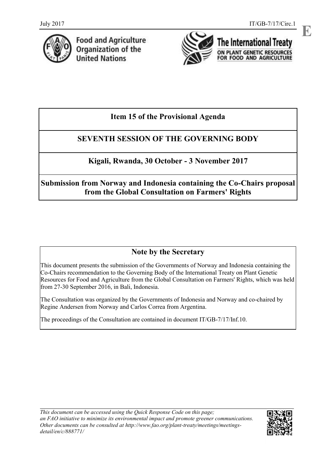**E**



**Food and Agriculture** Organization of the **United Nations** 



The International Treaty ON PLANT GENETIC RESOURCES FOR FOOD AND AGRICULTURE

# **Item 15 of the Provisional Agenda**

# **SEVENTH SESSION OF THE GOVERNING BODY**

# **Kigali, Rwanda, 30 October - 3 November 2017**

**Submission from Norway and Indonesia containing the Co-Chairs proposal from the Global Consultation on Farmers' Rights** 

# **Note by the Secretary**

This document presents the submission of the Governments of Norway and Indonesia containing the Co-Chairs recommendation to the Governing Body of the International Treaty on Plant Genetic Resources for Food and Agriculture from the Global Consultation on Farmers' Rights, which was held from 27-30 September 2016, in Bali, Indonesia.

The Consultation was organized by the Governments of Indonesia and Norway and co-chaired by Regine Andersen from Norway and Carlos Correa from Argentina.

The proceedings of the Consultation are contained in document IT/GB-7/17/Inf.10.

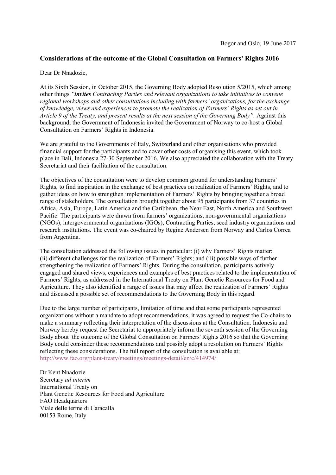### **Considerations of the outcome of the Global Consultation on Farmers' Rights 2016**

#### Dear Dr Nnadozie,

At its Sixth Session, in October 2015, the Governing Body adopted Resolution 5/2015, which among other things *"invites Contracting Parties and relevant organizations to take initiatives to convene regional workshops and other consultations including with farmers' organizations, for the exchange of knowledge, views and experiences to promote the realization of Farmers' Rights as set out in Article 9 of the Treaty, and present results at the next session of the Governing Body".* Against this background, the Government of Indonesia invited the Government of Norway to co-host a Global Consultation on Farmers' Rights in Indonesia.

We are grateful to the Governments of Italy, Switzerland and other organisations who provided financial support for the participants and to cover other costs of organising this event, which took place in Bali, Indonesia 27-30 September 2016. We also appreciated the collaboration with the Treaty Secretariat and their facilitation of the consultation.

The objectives of the consultation were to develop common ground for understanding Farmers' Rights, to find inspiration in the exchange of best practices on realization of Farmers' Rights, and to gather ideas on how to strengthen implementation of Farmers' Rights by bringing together a broad range of stakeholders. The consultation brought together about 95 participants from 37 countries in Africa, Asia, Europe, Latin America and the Caribbean, the Near East, North America and Southwest Pacific. The participants were drawn from farmers' organizations, non-governmental organizations (NGOs), intergovernmental organizations (IGOs), Contracting Parties, seed industry organizations and research institutions. The event was co-chaired by Regine Andersen from Norway and Carlos Correa from Argentina.

The consultation addressed the following issues in particular: (i) why Farmers' Rights matter; (ii) different challenges for the realization of Farmers' Rights; and (iii) possible ways of further strengthening the realization of Farmers' Rights. During the consultation, participants actively engaged and shared views, experiences and examples of best practices related to the implementation of Farmers' Rights, as addressed in the International Treaty on Plant Genetic Resources for Food and Agriculture. They also identified a range of issues that may affect the realization of Farmers' Rights and discussed a possible set of recommendations to the Governing Body in this regard.

Due to the large number of participants, limitation of time and that some participants represented organizations without a mandate to adopt recommendations, it was agreed to request the Co-chairs to make a summary reflecting their interpretation of the discussions at the Consultation. Indonesia and Norway hereby request the Secretariat to appropriately inform the seventh session of the Governing Body about the outcome of the Global Consultation on Farmers' Rights 2016 so that the Governing Body could consinder these recommendations and possibly adopt a resolution on Farmers' Rights reflecting these considerations. The full report of the consultation is available at: <http://www.fao.org/plant-treaty/meetings/meetings-detail/en/c/414974/>

Dr Kent Nnadozie Secretary *ad interim*  International Treaty on Plant Genetic Resources for Food and Agriculture FAO Headquarters Viale delle terme di Caracalla 00153 Rome, Italy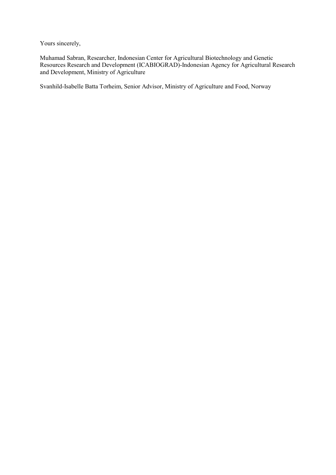Yours sincerely,

Muhamad Sabran, Researcher, Indonesian Center for Agricultural Biotechnology and Genetic Resources Research and Development (ICABIOGRAD)-Indonesian Agency for Agricultural Research and Development, Ministry of Agriculture

Svanhild-Isabelle Batta Torheim, Senior Advisor, Ministry of Agriculture and Food, Norway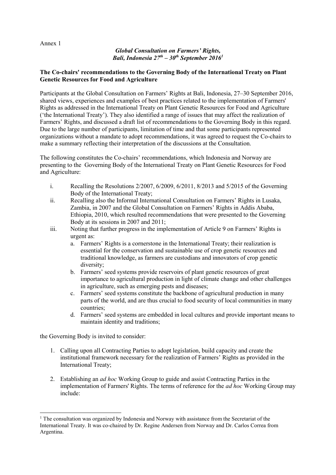#### Annex 1

### *Global Consultation on Farmers' Rights, Bali, Indonesia 27th – 30th September 2016<sup>1</sup>*

### **The Co-chairs' recommendations to the Governing Body of the International Treaty on Plant Genetic Resources for Food and Agriculture**

Participants at the Global Consultation on Farmers' Rights at Bali, Indonesia, 27–30 September 2016, shared views, experiences and examples of best practices related to the implementation of Farmers' Rights as addressed in the International Treaty on Plant Genetic Resources for Food and Agriculture ('the International Treaty'). They also identified a range of issues that may affect the realization of Farmers' Rights, and discussed a draft list of recommendations to the Governing Body in this regard. Due to the large number of participants, limitation of time and that some participants represented organizations without a mandate to adopt recommendations, it was agreed to request the Co-chairs to make a summary reflecting their interpretation of the discussions at the Consultation.

The following constitutes the Co-chairs' recommendations, which Indonesia and Norway are presenting to the Governing Body of the International Treaty on Plant Genetic Resources for Food and Agriculture:

- i. Recalling the Resolutions 2/2007, 6/2009, 6/2011, 8/2013 and 5/2015 of the Governing Body of the International Treaty;
- ii. Recalling also the Informal International Consultation on Farmers' Rights in Lusaka, Zambia, in 2007 and the Global Consultation on Farmers' Rights in Addis Ababa, Ethiopia, 2010, which resulted recommendations that were presented to the Governing Body at its sessions in 2007 and 2011;
- iii. Noting that further progress in the implementation of Article 9 on Farmers' Rights is urgent as:
	- a. Farmers' Rights is a cornerstone in the International Treaty; their realization is essential for the conservation and sustainable use of crop genetic resources and traditional knowledge, as farmers are custodians and innovators of crop genetic diversity;
	- b. Farmers' seed systems provide reservoirs of plant genetic resources of great importance to agricultural production in light of climate change and other challenges in agriculture, such as emerging pests and diseases;
	- c. Farmers' seed systems constitute the backbone of agricultural production in many parts of the world, and are thus crucial to food security of local communities in many countries;
	- d. Farmers' seed systems are embedded in local cultures and provide important means to maintain identity and traditions;

the Governing Body is invited to consider:

-

- 1. Calling upon all Contracting Parties to adopt legislation, build capacity and create the institutional framework necessary for the realization of Farmers' Rights as provided in the International Treaty;
- 2. Establishing an *ad hoc* Working Group to guide and assist Contracting Parties in the implementation of Farmers' Rights. The terms of reference for the *ad hoc* Working Group may include:

 $1$  The consultation was organized by Indonesia and Norway with assistance from the Secretariat of the International Treaty. It was co-chaired by Dr. Regine Andersen from Norway and Dr. Carlos Correa from Argentina.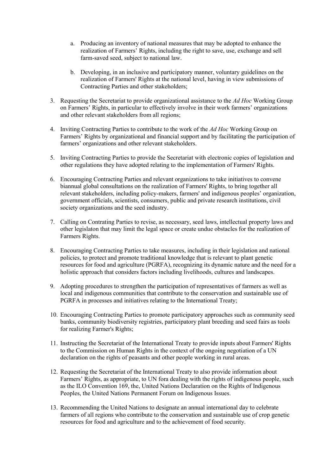- a. Producing an inventory of national measures that may be adopted to enhance the realization of Farmers' Rights, including the right to save, use, exchange and sell farm-saved seed, subject to national law.
- b. Developing, in an inclusive and participatory manner, voluntary guidelines on the realization of Farmers' Rights at the national level, having in view submissions of Contracting Parties and other stakeholders;
- 3. Requesting the Secretariat to provide organizational assistance to the *Ad Hoc* Working Group on Farmers' Rights, in particular to effectively involve in their work farmers' organizations and other relevant stakeholders from all regions;
- 4. Inviting Contracting Parties to contribute to the work of the *Ad Hoc* Working Group on Farmers' Rights by organizational and financial support and by facilitating the participation of farmers' organizations and other relevant stakeholders.
- 5. Inviting Contracting Parties to provide the Secretariat with electronic copies of legislation and other regulations they have adopted relating to the implementation of Farmers' Rights.
- 6. Encouraging Contracting Parties and relevant organizations to take initiatives to convene biannual global consultations on the realization of Farmers' Rights, to bring together all relevant stakeholders, including policy-makers, farmers' and indigenous peoples' organization, government officials, scientists, consumers, public and private research institutions, civil society organizations and the seed industry.
- 7. Calling on Contrating Parties to revise, as necessary, seed laws, intellectual property laws and other legislaton that may limit the legal space or create undue obstacles for the realization of Farmers Rights.
- 8. Encouraging Contracting Parties to take measures, including in their legislation and national policies, to protect and promote traditional knowledge that is relevant to plant genetic resources for food and agriculture (PGRFA), recognizing its dynamic nature and the need for a holistic approach that considers factors including livelihoods, cultures and landscapes.
- 9. Adopting procedures to strengthen the participation of representatives of farmers as well as local and indigenous communities that contribute to the conservation and sustainable use of PGRFA in processes and initiatives relating to the International Treaty;
- 10. Encouraging Contracting Parties to promote participatory approaches such as community seed banks, community biodiversity registries, participatory plant breeding and seed fairs as tools for realizing Farmer's Rights;
- 11. Instructing the Secretariat of the International Treaty to provide inputs about Farmers' Rights to the Commission on Human Rights in the context of the ongoing negotiation of a UN declaration on the rights of peasants and other people working in rural areas.
- 12. Requesting the Secretariat of the International Treaty to also provide information about Farmers' Rights, as appropriate, to UN fora dealing with the rights of indigenous people, such as the ILO Convention 169, the, United Nations Declaration on the Rights of Indigenous Peoples, the United Nations Permanent Forum on Indigenous Issues.
- 13. Recommending the United Nations to designate an annual international day to celebrate farmers of all regions who contribute to the conservation and sustainable use of crop genetic resources for food and agriculture and to the achievement of food security.